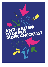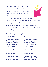This checklist has been created to serve as a fram ework for discussion between Touring Companies and Venues, whereby it is mutually agreed which anti-racist actions are to be undertaken by the parties. Both baseline and good practice

actions listed in the rider are given below, with some further space for additional actions. It is not presumed to be fit for purpose for every organisation in its im m e diate presentation, but rather to be adapted to b e st fit along side current m on itoring and data tracking.

| In t he Lead Up to Entering the Venue |                              |  |  |
|---------------------------------------|------------------------------|--|--|
| <b>Touring Company</b>                | <b>Venue</b>                 |  |  |
| <b>Provide Opportunities</b>          | <b>Provide Opportunities</b> |  |  |
| for all employees (on                 | for all employees (on        |  |  |
| permanent contract) to                | permanent contract)          |  |  |
| receive regular Anti                  | to receive regular Anti      |  |  |
| <b>Racism training</b>                | <b>Racism training</b>       |  |  |
| Which provider:                       | Which provider:              |  |  |
| When/How often:                       | When/How often:              |  |  |
| Provide needs of the                  | <b>Maintain a Safe Space</b> |  |  |
| production and                        | Charter that is read at      |  |  |
| production members                    | <b>Meet and Greets/Get</b>   |  |  |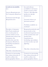| as early as as possible,<br>$inc$ :<br>Access Requirements<br>for Company Members<br>Technical and Design<br>Requirements                                                                                                                                     | ins and always<br>available to in-house<br>teams as part of the<br>Venue's Anti-Racism<br>policy (or sim ilar<br>in it ia t ive s).<br>Located where on<br>internal system?<br>Publicly available on                  |
|---------------------------------------------------------------------------------------------------------------------------------------------------------------------------------------------------------------------------------------------------------------|-----------------------------------------------------------------------------------------------------------------------------------------------------------------------------------------------------------------------|
|                                                                                                                                                                                                                                                               | website?                                                                                                                                                                                                              |
| Provide a Company<br>In fo Pack m in im um<br>two weeks prior to<br>arrival, which covers<br>information about the<br>company, the<br>production and the<br>Company Members,<br>including headshots<br>and name<br>pronunciations<br>Tim eline of production: | Respond positively and<br>proactively to the<br>technical requirements<br>of the production and<br>production<br>requirements<br>including specialisms<br>on hair, make-up and<br>lighting<br>Timeline of production: |
| Commit to increasing<br>the ethnic diversity of<br>staff to reflect the<br>demographics from a                                                                                                                                                                | Commit to increasing<br>the ethnic diversity of<br>staff to reflect the<br>demographics from a                                                                                                                        |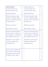| wider range of<br>communities if it<br>currently does not.<br>Self-evaluation:<br>Provide regular anti-                                                      | wider range of<br>communities if it<br>currently does not.<br>Self-evaluation:<br>Provide regular anti-                                                      |  |
|--------------------------------------------------------------------------------------------------------------------------------------------------------------|--------------------------------------------------------------------------------------------------------------------------------------------------------------|--|
| racism training offers<br>for the company's pool<br>offreelancers<br>Which provider:                                                                         | racism training offers<br>for the venue's pool of<br>freelancers<br>Which provider:                                                                          |  |
| When/How often:                                                                                                                                              | When/How often:                                                                                                                                              |  |
| Ensure organisational<br>awareness of cultural<br>and religious calendars<br>throughout the year<br>Notable events/dates<br>during production<br>engagement: | Ensure organisational<br>awareness of cultural<br>and religious calendars<br>throughout the year<br>Notable events/dates<br>during production<br>engagement: |  |
| Carry out an induction<br>process for rehearsals,<br>including an out-loud<br>reading of the rider                                                           |                                                                                                                                                              |  |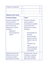| Timeline of production:                                                                                                                                                                  |                                                                                                                                                                                                                                                                                                                       |
|------------------------------------------------------------------------------------------------------------------------------------------------------------------------------------------|-----------------------------------------------------------------------------------------------------------------------------------------------------------------------------------------------------------------------------------------------------------------------------------------------------------------------|
|                                                                                                                                                                                          |                                                                                                                                                                                                                                                                                                                       |
|                                                                                                                                                                                          |                                                                                                                                                                                                                                                                                                                       |
| <b>Welcome to the Venue</b>                                                                                                                                                              |                                                                                                                                                                                                                                                                                                                       |
| <b>Touring Company</b>                                                                                                                                                                   | <b>Venue</b>                                                                                                                                                                                                                                                                                                          |
| <b>Provide Company Info</b><br>Pack as close to<br>contracting as possible<br>and minimum two<br>weeks prior to arrival,<br>including:<br>Headshots<br><b>Pronunciations of</b><br>names | Provide a welcome<br>pack as close to<br>contracting as possible<br>and minimum two<br>weeks prior to arrival,<br>including:<br>Demographics of<br>the area<br>Recommended<br>places to eat and<br>things to see and<br>do<br><b>Transport and</b><br>map<br>Licensed/approve<br>d taxi companies<br>Full staff list. |
| Distribute the Venue's<br><b>Welcome Pack to the</b><br>Company at least a<br>week before arriving at                                                                                    | Indicate to the Touring<br>Company in advance<br>who will be meeting<br>them upon arrival at                                                                                                                                                                                                                          |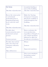| the Venue.<br>Tim eline of production:                                                                                                          | reception/leading a<br>tour of the building.<br>Tim eline of production:                                                                  |  |
|-------------------------------------------------------------------------------------------------------------------------------------------------|-------------------------------------------------------------------------------------------------------------------------------------------|--|
| Recce the venue prior<br>to arrival (and<br>preferably prior to<br>programming) and<br>meet with the staff<br>team.<br>Tim eline of production: | Make the Touring<br>Company's Company<br>In fo Pack available to<br>staff throughout the<br>$b$ u ild in g.<br>Tim eline of production:   |  |
| Provide clear<br>communication and a<br>dedicated contact<br>person<br>Contact person:                                                          | Host a welcome for<br>every production,<br>regardless of length of<br>run, which should be<br>planned to allow for<br>maximum attendance. |  |
| Provide clear arrival<br>times for when the<br>company will arrive<br>together<br>$\lim e$ (if known):                                          | When:<br>Form at:<br>Expected numbers:                                                                                                    |  |
|                                                                                                                                                 | Give every employee<br>(in cluding casual<br>workers) the                                                                                 |  |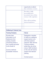|                                                                                                                                                                                                                 | opportunity to attend<br>the welcome events                                                                                                                                                                                                                          |
|-----------------------------------------------------------------------------------------------------------------------------------------------------------------------------------------------------------------|----------------------------------------------------------------------------------------------------------------------------------------------------------------------------------------------------------------------------------------------------------------------|
|                                                                                                                                                                                                                 | Provide a fully<br>accessible pre-<br>recorded tour of the<br>venue with captions                                                                                                                                                                                    |
|                                                                                                                                                                                                                 | One-off recording,<br>annualupdates:                                                                                                                                                                                                                                 |
|                                                                                                                                                                                                                 |                                                                                                                                                                                                                                                                      |
|                                                                                                                                                                                                                 |                                                                                                                                                                                                                                                                      |
| <b>Wellbeing &amp; Pastoral Care</b>                                                                                                                                                                            |                                                                                                                                                                                                                                                                      |
|                                                                                                                                                                                                                 |                                                                                                                                                                                                                                                                      |
| <b>Touring Company</b>                                                                                                                                                                                          | <b>Venue</b>                                                                                                                                                                                                                                                         |
| <b>Provide clear</b><br>information to all<br>freelancers from<br>casting onwards<br>concerning where a<br>tour is going and what<br>it will consist of<br><b>Comms methods:</b><br><b>Accessible Versions:</b> | Designate a member<br>of staff as a wellbeing<br>support person who<br>will share pastoral<br>responsi bility with the<br><b>Touring company</b><br>whilst they are at the<br>venue. Staff members<br>in this role will receive<br>support and relevant<br>training. |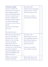| Provide a contact       | Provide clear          |  |
|-------------------------|------------------------|--|
| person within the       | information regarding  |  |
| company for support,    | green rooms, toilets,  |  |
| and signposting to      | staff only spaces etc  |  |
| external professionals  |                        |  |
| where needed; and       | Commsmethods:          |  |
| make available the      | Accessible Versions:   |  |
| details of this support |                        |  |
| to all participating    |                        |  |
| venues as part of any   |                        |  |
| $d$ e a $l$             |                        |  |
| $m$ em o/contracting    |                        |  |
| process.                |                        |  |
|                         |                        |  |
| Contact person:         |                        |  |
|                         |                        |  |
| Provide technical and   | Provide clear          |  |
| get-in schedules a      | information on how     |  |
| m in im um 2 weeks      | the building operates  |  |
| prior to the touring    | $(in$ cluding opening, |  |
| week, en surin g        | $loc k-up, on-site$    |  |
| adequate time is        | personnel etc)         |  |
| allowed for company     |                        |  |
| members to check into   | Commsmethods:          |  |
| accommodation           | Accessible Versions:   |  |
| during daylight hours   |                        |  |
| and scheduling this     |                        |  |
| appropriately           |                        |  |
| Allocate dressing       | Keep digs lists up to  |  |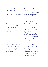| consideration to cast<br>size, cast makeup and<br>any access needs.<br>Tim eline of production:                  | digs are pre-checked.<br>Maintain regular<br>contact with digs hosts<br>to ensure all details are<br>up to date and digs<br>rem ain suitable for<br>Touring Companies.                                                                                                                |  |
|------------------------------------------------------------------------------------------------------------------|---------------------------------------------------------------------------------------------------------------------------------------------------------------------------------------------------------------------------------------------------------------------------------------|--|
| Pay touring allowance<br>as early as possible so<br>that digs can be<br>booked well in<br>advance.               | Annualcheck:<br>Have a dedicated Digs'<br>member of staff to<br>liaise with the touring<br>company and advise<br>on areas and safety<br>with particular regards<br>to late evening finishes<br>post-tech or show and<br>company Members<br>travelling home in<br>un fam iliar cities. |  |
| Speak to each land lord<br>before the visit, using<br>the Safe Space Charter<br>as a framework for<br>discussion | Maintain a zero-<br>tolerance approach in<br>dealing with any<br>reported incidents<br>involving digs and digs<br>list to be maintained<br>and updated in<br>accordance with this.                                                                                                    |  |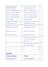| Advocate the anti       | Advocate the anti-        |  |
|-------------------------|---------------------------|--|
| racism policy to        | racism policy to          |  |
| Theatre Digs Booker so  | Theatre Digs Booker so    |  |
| that it can become an   | that it can become an     |  |
| accurate and up-to-     | accurate and up-to-       |  |
| date centralised digs   | date centralised digs     |  |
| system that Venues      | system that Venues        |  |
| and Touring             | and Touring               |  |
| Companies will pass all | Companies will pass all   |  |
| information onto.       | information onto.         |  |
| Sharing disclosure on   | Sharing disclosure on     |  |
| training received       | training received         |  |
|                         |                           |  |
| Which provider:         | Which provider:           |  |
|                         |                           |  |
| When/How often:         | When/How often:           |  |
|                         | Ask digs hosts to sign    |  |
|                         | up to a Safe Space        |  |
|                         | Charter.                  |  |
|                         | Diversify digs list and   |  |
|                         | who is hosting.           |  |
|                         |                           |  |
|                         |                           |  |
|                         |                           |  |
| <b>Marketing</b>        |                           |  |
| <b>Touring Company</b>  | <b>Venue</b>              |  |
| Provide details of      | <b>Provide details of</b> |  |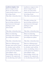| audience targets, how    | audience targets, how     |
|--------------------------|---------------------------|
| these targets have       | these targets have        |
| been set and what        | been set and what         |
| expectation there is of  | expectation there is of   |
| meeting them             | meeting them              |
| Tim eline of production: | Tim eline of production:  |
| Provide actions for      | Provide actions for       |
| generating audiences     | generating audiences      |
| and interest through     | and interest through      |
| dialogue and             | dialogue and              |
| discussion               | discussion                |
| Tim eline of production: | Tim e line of production: |
| Share marketing          | Share marketing           |
| strategy and audience    | strategy and audience     |
| development plans        | development plans         |
| Tim eline of production: | Tim eline of production:  |
| Discuss all language,    | Discuss all language,     |
| image and assets used    | image and assets used     |
| to market and sell the   | to market and sell the    |
| show, including where    | show, including where     |
| each party has distinct  | each party has distinct   |
| specialisms and          | specialisms and           |
| knowledge which can      | knowledge which can       |
| support the approach     | support the approach      |
| to marketing and sales   | to marketing and sales    |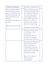| Timeline of production:                                                                                                                                                                                                                            | Tim eline of production:                                                                                                                                                                                                                              |  |
|----------------------------------------------------------------------------------------------------------------------------------------------------------------------------------------------------------------------------------------------------|-------------------------------------------------------------------------------------------------------------------------------------------------------------------------------------------------------------------------------------------------------|--|
| Meet with Box Office<br>and Marketing staff<br>prior to arrival (as part<br>of recce) or before the<br>first perform ance to<br>discuss<br>$\text{production}/\text{the} \text{m} \text{e}\text{s}/\text{co}$<br>mpany<br>Tim eline of production: | Share marketing plans<br>and print/pullups with<br>the Touring Company<br>as soon as possible<br>after program m ing,<br>and well in advance of<br>the tour, so there is<br>clarity of expectation<br>from the beginning.<br>Tim eline of production: |  |
|                                                                                                                                                                                                                                                    | Share internally (with<br>marketing teams)<br>reasons for<br>program m ing and<br>positive messaging<br>around programming                                                                                                                            |  |
|                                                                                                                                                                                                                                                    | Consider the placing of<br>print, pull-ups and<br>other prom inent<br>marketing materials<br>and involving Touring<br>Companies within that<br>decision making.<br>Basis for decisions:<br>Internalteam<br>$responsible$ :                            |  |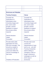| <b>Brochures and Websites</b>                                                                                                                                                                                             |  |                                                                                                                                                                                                                                        |  |
|---------------------------------------------------------------------------------------------------------------------------------------------------------------------------------------------------------------------------|--|----------------------------------------------------------------------------------------------------------------------------------------------------------------------------------------------------------------------------------------|--|
| <b>Touring Company</b>                                                                                                                                                                                                    |  | <b>Venue</b>                                                                                                                                                                                                                           |  |
| <b>Consider the</b><br>implications of<br>stereotypes when<br>choosing images and<br>text, and to seek<br>broader, diverse<br>feedback to support<br>the process where<br>required                                        |  | <b>Consider the</b><br>implications of<br>stereotypes when<br>choosing images and<br>text, and to seek<br>broader, diverse<br>feedback to support<br>the process where<br>required                                                     |  |
| <b>Internal decision</b><br>maker:<br><b>Consulted:</b>                                                                                                                                                                   |  | <b>Internal decision</b><br>maker:<br>Consulted:                                                                                                                                                                                       |  |
| Provide boiler plate<br>descriptors for local<br>PRs and coverage. This<br>should be created in<br>conjunction with the<br>venue and reflect the<br>Venue's knowledge of<br>their area.<br><b>Timeline of Production:</b> |  | Provide clear word<br>counts and<br>requirements of copy,<br>and to con sult with<br><b>Touring Companies</b><br>before editing or<br>changing it, both on<br>longer versions/on<br>webpages as well as<br>short copy in<br>brochures. |  |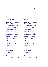|                                                                                                                                                                                                                                                                                                               | Tim eline of Production:                                                                                                                                                                                                                                                                                      |
|---------------------------------------------------------------------------------------------------------------------------------------------------------------------------------------------------------------------------------------------------------------------------------------------------------------|---------------------------------------------------------------------------------------------------------------------------------------------------------------------------------------------------------------------------------------------------------------------------------------------------------------|
|                                                                                                                                                                                                                                                                                                               |                                                                                                                                                                                                                                                                                                               |
| <b>Audiences</b>                                                                                                                                                                                                                                                                                              |                                                                                                                                                                                                                                                                                                               |
| <b>Touring Company</b>                                                                                                                                                                                                                                                                                        | <b>Venue</b>                                                                                                                                                                                                                                                                                                  |
| <b>Establish mechanisms</b><br>for inclusivity to<br>improve the audience<br>experience. This<br>should include working<br>together to break<br>down unhelpful<br>expectations around<br>audience behaviour<br>and etiquette and<br>agree where the<br>perceived etiquette<br>can and should be<br>challenged | <b>Establish mechanisms</b><br>for inclusivity to<br>improve the audience<br>experience. This<br>should include<br>working together to<br>break down unhelpful<br>expectations around<br>audience behaviour<br>and etiquette and<br>agree where the<br>perceived etiquette<br>can and should be<br>challenged |
| <b>Mechanism</b>                                                                                                                                                                                                                                                                                              | <b>Mechanism</b>                                                                                                                                                                                                                                                                                              |

established:

Usability check:

Responsibility lies with:

established:

Usability check:

Responsibility lies with: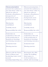| <b>Discuss presumptions</b><br>around who audiences<br>are and where 'value' is<br>placed, in order to<br>welcome all audiences<br>irrespective of<br>background, socio-<br>economics or race | Discuss presumptions<br>around who audiences<br>are and where 'value' is<br>placed, in order to<br>welcome all audiences<br>irrespective of<br>background, socio-<br>economics or race |  |
|-----------------------------------------------------------------------------------------------------------------------------------------------------------------------------------------------|----------------------------------------------------------------------------------------------------------------------------------------------------------------------------------------|--|
| Mechanism<br>established:<br>Usability check:<br>Responsibility lies with:                                                                                                                    | Mechanism<br>established:<br>Usability check:<br>Responsibility lies with:                                                                                                             |  |
| Undertake an<br>evaluation at the end<br>of the production to<br>implement learnings<br>and sharing outcomes.<br>Evaluation lead:<br>Sharing practice:                                        | Undertake an<br>evaluation at the end<br>of the production to<br>implement learnings<br>and sharing outcomes.<br>Evaluation lead:<br>Sharing practice:                                 |  |
| Discuss with the Venue<br>Front of House and<br>marketing teams work<br>around<br>$c$ reating/supporting an                                                                                   | Interrogate the offer<br>within the building<br>(food, space to<br>work/socialise) as a<br>whole, and encourage                                                                        |  |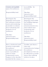| inclusive and equitable<br>space for audiences.<br>Responsibility lead:                                                                                                                                                                | accessibility for<br>everyone<br>Tim e line:                                                                                                                                                                                                  |
|----------------------------------------------------------------------------------------------------------------------------------------------------------------------------------------------------------------------------------------|-----------------------------------------------------------------------------------------------------------------------------------------------------------------------------------------------------------------------------------------------|
|                                                                                                                                                                                                                                        | Annual review:<br>Responsibility lead:                                                                                                                                                                                                        |
| Interrogate the<br>language used across<br>the company website,<br>assets and marketing<br>materials to evaluate<br>how we loom in g and<br>in clu sive it is to<br>audiences<br>Tim e line:<br>Annual review:<br>Responsibility lead: | Interrogate the<br>language used within<br>the building (signage,<br>instructions,<br>announcements etc.)<br>and evaluate how<br>we loom ing and<br>in clusive it is to<br>audiences<br>Tim e line:<br>Annual review:<br>Responsibility lead: |
|                                                                                                                                                                                                                                        |                                                                                                                                                                                                                                               |
| Have a dedicated staff<br>member responsible<br>for audience<br>development in post as<br>soon as possible, in<br>order to make<br>wraparound events<br>happen in the timeline<br>needed for the venues                                | Confirm and share a<br>clearand<br>comprehensive budget<br>for audience<br>development that can<br>be allocated to certain<br>shows that will help<br>achieve its aim s.                                                                      |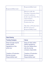| Responsibility lead:                                                                    |  | Responsibility lead:                                                                                                                                                                                               |  |  |
|-----------------------------------------------------------------------------------------|--|--------------------------------------------------------------------------------------------------------------------------------------------------------------------------------------------------------------------|--|--|
|                                                                                         |  | Discuss with the<br>Touring Company their<br>current audience<br>make-up and what the<br>expectations<br>surrounding the<br>Production are.<br>Tim eline of Production:<br>Review process:<br>Responsibility lead: |  |  |
|                                                                                         |  |                                                                                                                                                                                                                    |  |  |
|                                                                                         |  |                                                                                                                                                                                                                    |  |  |
| <b>Data Sharing</b>                                                                     |  |                                                                                                                                                                                                                    |  |  |
| <b>Touring Company</b>                                                                  |  | Venue                                                                                                                                                                                                              |  |  |
| Share full data reports<br>(within GDPR<br>regulations) of the<br>entire tour           |  | Share all data (within<br><b>GDPR</b> regulations)<br>from the visiting show<br>with the touring<br>company responsible                                                                                            |  |  |
| <b>Timeline of Production:</b><br><b>Review process:</b><br><b>Responsibility lead:</b> |  | <b>Timeline of Production:</b><br><b>Review process:</b><br><b>Responsibility lead:</b>                                                                                                                            |  |  |